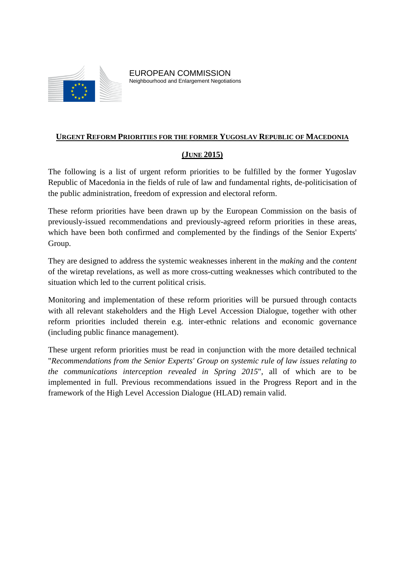

### **URGENT REFORM PRIORITIES FOR THE FORMER YUGOSLAV REPUBLIC OF MACEDONIA**

# **(JUNE 2015)**

The following is a list of urgent reform priorities to be fulfilled by the former Yugoslav Republic of Macedonia in the fields of rule of law and fundamental rights, de-politicisation of the public administration, freedom of expression and electoral reform.

These reform priorities have been drawn up by the European Commission on the basis of previously-issued recommendations and previously-agreed reform priorities in these areas, which have been both confirmed and complemented by the findings of the Senior Experts' Group.

They are designed to address the systemic weaknesses inherent in the *making* and the *content* of the wiretap revelations, as well as more cross-cutting weaknesses which contributed to the situation which led to the current political crisis.

Monitoring and implementation of these reform priorities will be pursued through contacts with all relevant stakeholders and the High Level Accession Dialogue, together with other reform priorities included therein e.g. inter-ethnic relations and economic governance (including public finance management).

These urgent reform priorities must be read in conjunction with the more detailed technical "*Recommendations from the Senior Experts' Group on systemic rule of law issues relating to the communications interception revealed in Spring 2015*", all of which are to be implemented in full. Previous recommendations issued in the Progress Report and in the framework of the High Level Accession Dialogue (HLAD) remain valid.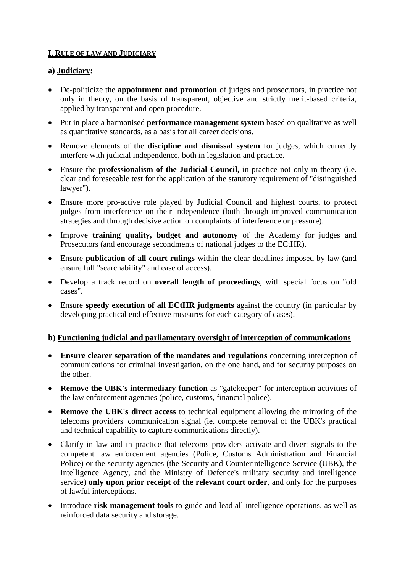# **I. RULE OF LAW AND JUDICIARY**

# **a) Judiciary:**

- De-politicize the **appointment and promotion** of judges and prosecutors, in practice not only in theory, on the basis of transparent, objective and strictly merit-based criteria, applied by transparent and open procedure.
- Put in place a harmonised **performance management system** based on qualitative as well as quantitative standards, as a basis for all career decisions.
- Remove elements of the **discipline and dismissal system** for judges, which currently interfere with judicial independence, both in legislation and practice.
- Ensure the **professionalism of the Judicial Council,** in practice not only in theory (i.e. clear and foreseeable test for the application of the statutory requirement of "distinguished lawyer").
- Ensure more pro-active role played by Judicial Council and highest courts, to protect judges from interference on their independence (both through improved communication strategies and through decisive action on complaints of interference or pressure).
- Improve **training quality, budget and autonomy** of the Academy for judges and Prosecutors (and encourage secondments of national judges to the ECtHR).
- Ensure **publication of all court rulings** within the clear deadlines imposed by law (and ensure full "searchability" and ease of access).
- Develop a track record on **overall length of proceedings**, with special focus on "old cases".
- Ensure **speedy execution of all ECtHR judgments** against the country (in particular by developing practical end effective measures for each category of cases).

# **b) Functioning judicial and parliamentary oversight of interception of communications**

- **Ensure clearer separation of the mandates and regulations** concerning interception of communications for criminal investigation, on the one hand, and for security purposes on the other.
- **Remove the UBK's intermediary function** as "gatekeeper" for interception activities of the law enforcement agencies (police, customs, financial police).
- **Remove the UBK's direct access** to technical equipment allowing the mirroring of the telecoms providers' communication signal (ie. complete removal of the UBK's practical and technical capability to capture communications directly).
- Clarify in law and in practice that telecoms providers activate and divert signals to the competent law enforcement agencies (Police, Customs Administration and Financial Police) or the security agencies (the Security and Counterintelligence Service (UBK), the Intelligence Agency, and the Ministry of Defence's military security and intelligence service) **only upon prior receipt of the relevant court order**, and only for the purposes of lawful interceptions.
- Introduce **risk management tools** to guide and lead all intelligence operations, as well as reinforced data security and storage.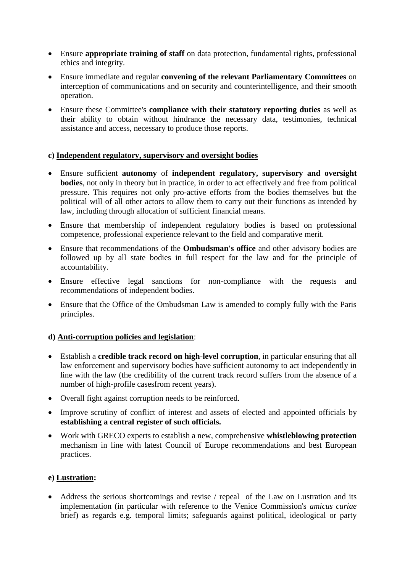- Ensure **appropriate training of staff** on data protection, fundamental rights, professional ethics and integrity.
- Ensure immediate and regular **convening of the relevant Parliamentary Committees** on interception of communications and on security and counterintelligence, and their smooth operation.
- Ensure these Committee's **compliance with their statutory reporting duties** as well as their ability to obtain without hindrance the necessary data, testimonies, technical assistance and access, necessary to produce those reports.

# **c) Independent regulatory, supervisory and oversight bodies**

- Ensure sufficient **autonomy** of **independent regulatory, supervisory and oversight bodies**, not only in theory but in practice, in order to act effectively and free from political pressure. This requires not only pro-active efforts from the bodies themselves but the political will of all other actors to allow them to carry out their functions as intended by law, including through allocation of sufficient financial means.
- Ensure that membership of independent regulatory bodies is based on professional competence, professional experience relevant to the field and comparative merit.
- Ensure that recommendations of the **Ombudsman's office** and other advisory bodies are followed up by all state bodies in full respect for the law and for the principle of accountability.
- Ensure effective legal sanctions for non-compliance with the requests and recommendations of independent bodies.
- Ensure that the Office of the Ombudsman Law is amended to comply fully with the Paris principles.

# **d) Anti-corruption policies and legislation**:

- Establish a **credible track record on high-level corruption**, in particular ensuring that all law enforcement and supervisory bodies have sufficient autonomy to act independently in line with the law (the credibility of the current track record suffers from the absence of a number of high-profile casesfrom recent years).
- Overall fight against corruption needs to be reinforced.
- Improve scrutiny of conflict of interest and assets of elected and appointed officials by **establishing a central register of such officials.**
- Work with GRECO experts to establish a new, comprehensive **whistleblowing protection** mechanism in line with latest Council of Europe recommendations and best European practices.

# **e) Lustration:**

 Address the serious shortcomings and revise / repeal of the Law on Lustration and its implementation (in particular with reference to the Venice Commission's *amicus curiae* brief) as regards e.g. temporal limits; safeguards against political, ideological or party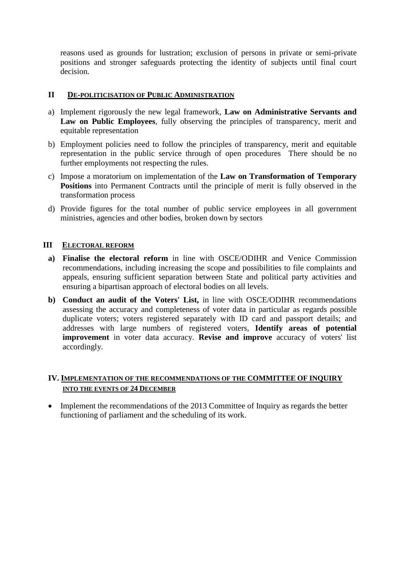reasons used as grounds for lustration; exclusion of persons in private or semi-private positions and stronger safeguards protecting the identity of subjects until final court decision.

### **II DE-POLITICISATION OF PUBLIC ADMINISTRATION**

- a) Implement rigorously the new legal framework, **Law on Administrative Servants and Law on Public Employees**, fully observing the principles of transparency, merit and equitable representation
- b) Employment policies need to follow the principles of transparency, merit and equitable representation in the public service through of open procedures There should be no further employments not respecting the rules.
- c) Impose a moratorium on implementation of the **Law on Transformation of Temporary Positions** into Permanent Contracts until the principle of merit is fully observed in the transformation process
- d) Provide figures for the total number of public service employees in all government ministries, agencies and other bodies, broken down by sectors

### **III ELECTORAL REFORM**

- **a) Finalise the electoral reform** in line with OSCE/ODIHR and Venice Commission recommendations, including increasing the scope and possibilities to file complaints and appeals, ensuring sufficient separation between State and political party activities and ensuring a bipartisan approach of electoral bodies on all levels.
- **b) Conduct an audit of the Voters' List,** in line with OSCE/ODIHR recommendations assessing the accuracy and completeness of voter data in particular as regards possible duplicate voters; voters registered separately with ID card and passport details; and addresses with large numbers of registered voters, **Identify areas of potential improvement** in voter data accuracy. **Revise and improve** accuracy of voters' list accordingly.

# **IV. IMPLEMENTATION OF THE RECOMMENDATIONS OF THE COMMITTEE OF INQUIRY INTO THE EVENTS OF 24 DECEMBER**

• Implement the recommendations of the 2013 Committee of Inquiry as regards the better functioning of parliament and the scheduling of its work.